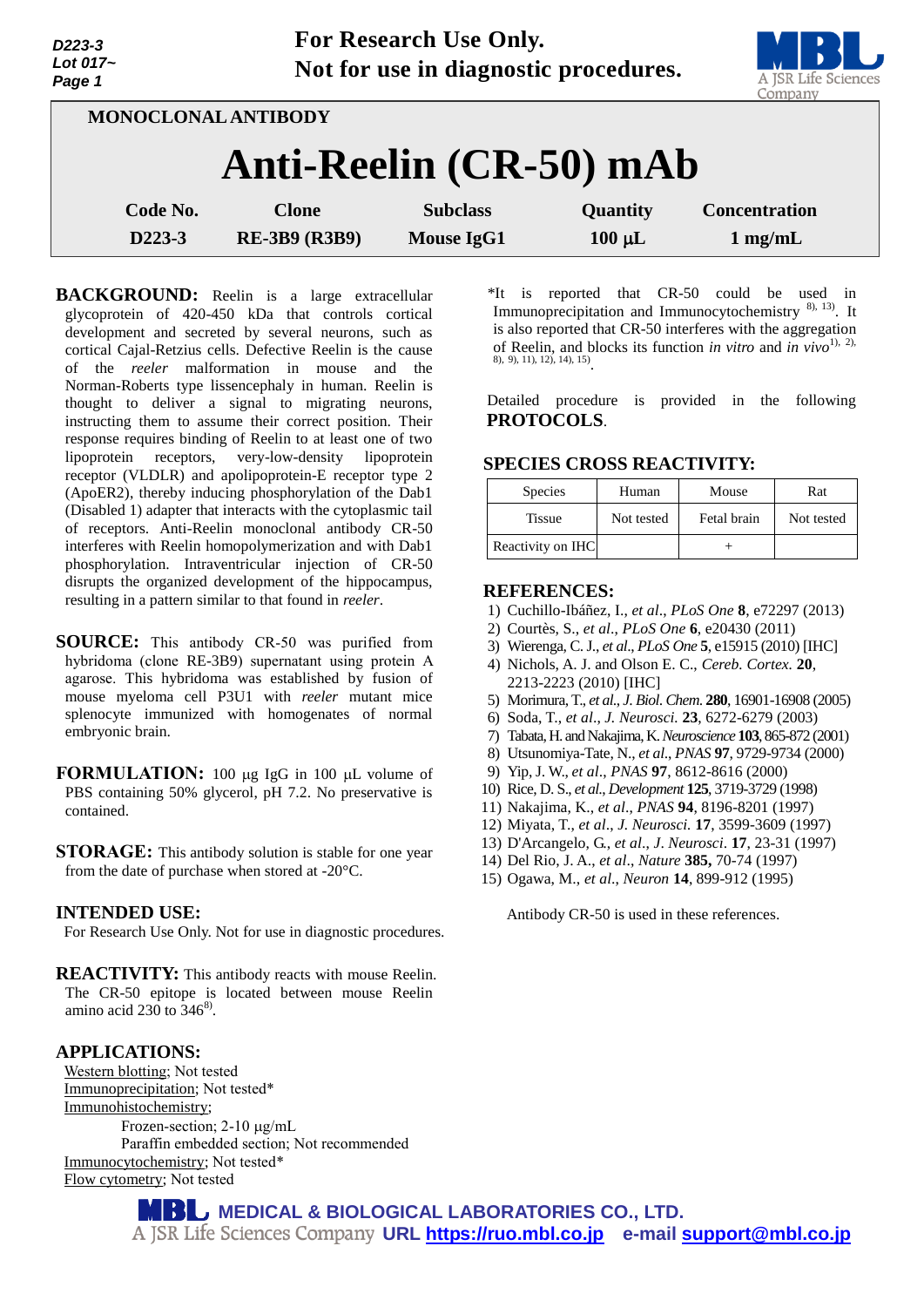| D223-3<br>Lot 017~<br>Page 1 | FOR RESEARCH USE UHIY.<br>Not for use in diagnostic procedures. | A JSR Life Scie<br>Company |             |                      |
|------------------------------|-----------------------------------------------------------------|----------------------------|-------------|----------------------|
| <b>MONOCLONAL ANTIBODY</b>   |                                                                 |                            |             |                      |
|                              | Anti-Reelin (CR-50) mAb                                         |                            |             |                      |
| Code No.                     | <b>Clone</b>                                                    | <b>Subclass</b>            | Quantity    | <b>Concentration</b> |
| D223-3                       | <b>RE-3B9 (R3B9)</b>                                            | <b>Mouse IgG1</b>          | $100 \mu L$ | $1$ mg/mL            |

**For Research Use Only.**

**BACKGROUND:** Reelin is a large extracellular glycoprotein of 420-450 kDa that controls cortical development and secreted by several neurons, such as cortical Cajal-Retzius cells. Defective Reelin is the cause of the *reeler* malformation in mouse and the Norman-Roberts type lissencephaly in human. Reelin is thought to deliver a signal to migrating neurons, instructing them to assume their correct position. Their response requires binding of Reelin to at least one of two lipoprotein receptors, very-low-density lipoprotein receptor (VLDLR) and apolipoprotein-E receptor type 2 (ApoER2), thereby inducing phosphorylation of the Dab1 (Disabled 1) adapter that interacts with the cytoplasmic tail of receptors. Anti-Reelin monoclonal antibody CR-50 interferes with Reelin homopolymerization and with Dab1 phosphorylation. Intraventricular injection of CR-50 disrupts the organized development of the hippocampus, resulting in a pattern similar to that found in *reeler*.

- **SOURCE:** This antibody CR-50 was purified from hybridoma (clone RE-3B9) supernatant using protein A agarose. This hybridoma was established by fusion of mouse myeloma cell P3U1 with *reeler* mutant mice splenocyte immunized with homogenates of normal embryonic brain.
- **FORMULATION:** 100 µg IgG in 100 µL volume of PBS containing 50% glycerol, pH 7.2. No preservative is contained.
- **STORAGE:** This antibody solution is stable for one year from the date of purchase when stored at -20°C.

# **INTENDED USE:**

For Research Use Only. Not for use in diagnostic procedures.

**REACTIVITY:** This antibody reacts with mouse Reelin. The CR-50 epitope is located between mouse Reelin amino acid  $230$  to  $346^8$ .

# **APPLICATIONS:**

Western blotting; Not tested Immunoprecipitation; Not tested\* Immunohistochemistry; Frozen-section; 2-10 µg/mL Paraffin embedded section; Not recommended Immunocytochemistry; Not tested\* Flow cytometry; Not tested

\*It is reported that CR-50 could be used in Immunoprecipitation and Immunocytochemistry<sup>8), 13</sup>). It is also reported that CR-50 interferes with the aggregation of Reelin, and blocks its function *in vitro* and *in vivo*1), 2)*,* 8), 9), 11), 12), 14), 15) .

Detailed procedure is provided in the following **PROTOCOLS**.

# **SPECIES CROSS REACTIVITY:**

| <b>Species</b>    | Human      | Mouse       | Rat        |
|-------------------|------------|-------------|------------|
| <b>Tissue</b>     | Not tested | Fetal brain | Not tested |
| Reactivity on IHC |            |             |            |

### **REFERENCES:**

- 1) [Cuchillo-Ibáñez,](http://www.ncbi.nlm.nih.gov/pubmed/?term=Cuchillo-Ib%C3%A1%C3%B1ez%20I%5BAuthor%5D&cauthor=true&cauthor_uid=23951306) I., *et al*., *PLoS One* **8**, e72297 (2013)
- 2) [Courtès,](http://www.ncbi.nlm.nih.gov/pubmed/?term=Court%C3%A8s%20S%5BAuthor%5D&cauthor=true&cauthor_uid=21647369) S., *et al*., *PLoS One* **6**, e20430 (2011)
- 3) [Wierenga,](http://www.ncbi.nlm.nih.gov/pubmed/?term=Wierenga%20CJ%5BAuthor%5D&cauthor=true&cauthor_uid=21209836) C. J., *et al*., *PLoS One* **5**, e15915 (2010) [IHC]
- 4) Nichols, A. J. and Olson E. C., *Cereb. [Cortex.](http://www.ncbi.nlm.nih.gov/pubmed/20064940)* **20**, 2213-2223 (2010) [IHC]
- 5) Morimura, T., *et al*., *J*. *Biol*. *Chem*. **280**, 16901-16908 (2005)
- 6) Soda, T., *et al*., *J. Neurosci.* **23**, 6272-6279 (2003)
- 7) Tabata, H. and Nakajima, K. *Neuroscience* **103**,865-872 (2001)
- 8) Utsunomiya-Tate, N., *et al*., *PNAS* **97**, 9729-9734 (2000)
- 9) Yip, J. W., *et al*., *PNAS* **97**, 8612-8616 (2000)
- 10) Rice, D. S., *et al*., *Development* **125**, 3719-3729 (1998)
- 11) Nakajima, K., *et al*., *PNAS* **94**, 8196-8201 (1997)
- 12) Miyata, T., *et al*., *J. Neurosci.* **17**, 3599-3609 (1997)
- 13) D'Arcangelo, G., *et al*., *J*. *Neurosci*. **17**, 23-31 (1997)
- 14) Del Rio, J. A., *et al*., *Nature* **385,** 70-74 (1997)
- 15) Ogawa, M., *et al*., *Neuron* **14**, 899-912 (1995)

Antibody CR-50 is used in these references.